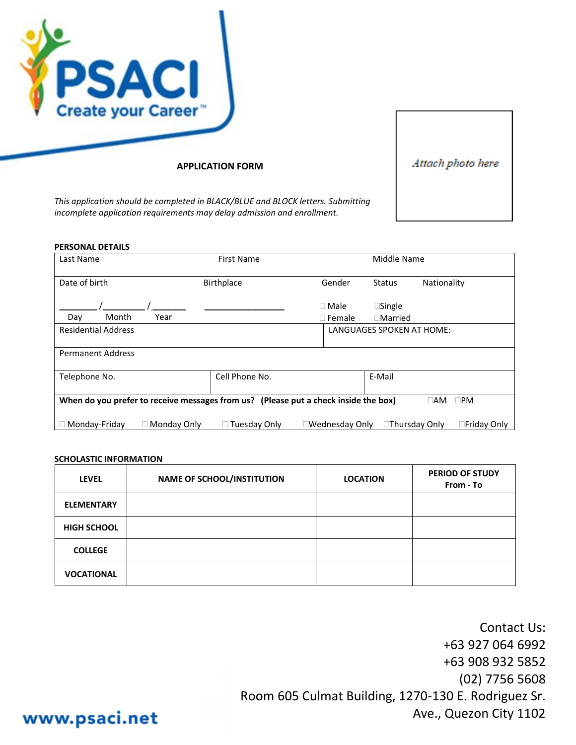

**APPLICATION FORM**

Attach photo here

*This application should be completed in BLACK/BLUE and BLOCK letters. Submitting incomplete application requirements may delay admission and enrollment.*

| <b>PERSONAL DETAILS</b>           |             |                                                                                     |                 |                                             |                           |
|-----------------------------------|-------------|-------------------------------------------------------------------------------------|-----------------|---------------------------------------------|---------------------------|
| Last Name                         |             | First Name                                                                          |                 | Middle Name                                 |                           |
| Date of birth                     |             | <b>Birthplace</b>                                                                   | Gender          | <b>Status</b>                               | Nationality               |
| Month                             |             |                                                                                     | $\Box$ Male     | $\square$ Single                            |                           |
| Day<br><b>Residential Address</b> | Year        |                                                                                     | $\Box$ Female   | $\Box$ Married<br>LANGUAGES SPOKEN AT HOME: |                           |
|                                   |             |                                                                                     |                 |                                             |                           |
| <b>Permanent Address</b>          |             |                                                                                     |                 |                                             |                           |
| Telephone No.                     |             | Cell Phone No.                                                                      |                 | E-Mail                                      |                           |
|                                   |             | When do you prefer to receive messages from us? (Please put a check inside the box) |                 |                                             | $\square$ PM<br>$\Box$ am |
| Monday-Friday                     | Monday Only | $\Box$ Tuesday Only                                                                 | ∃Wednesday Only | □Thursday Only                              | □Friday Only              |

#### **SCHOLASTIC INFORMATION**

| <b>LEVEL</b>       | <b>NAME OF SCHOOL/INSTITUTION</b> | <b>LOCATION</b> | <b>PERIOD OF STUDY</b><br>From - To |
|--------------------|-----------------------------------|-----------------|-------------------------------------|
| <b>ELEMENTARY</b>  |                                   |                 |                                     |
| <b>HIGH SCHOOL</b> |                                   |                 |                                     |
| <b>COLLEGE</b>     |                                   |                 |                                     |
| <b>VOCATIONAL</b>  |                                   |                 |                                     |

Contact Us: +63 927 064 6992 +63 908 932 5852 (02) 7756 5608 Room 605 Culmat Building, 1270-130 E. Rodriguez Sr. Ave., Quezon City 1102

# www.psaci.net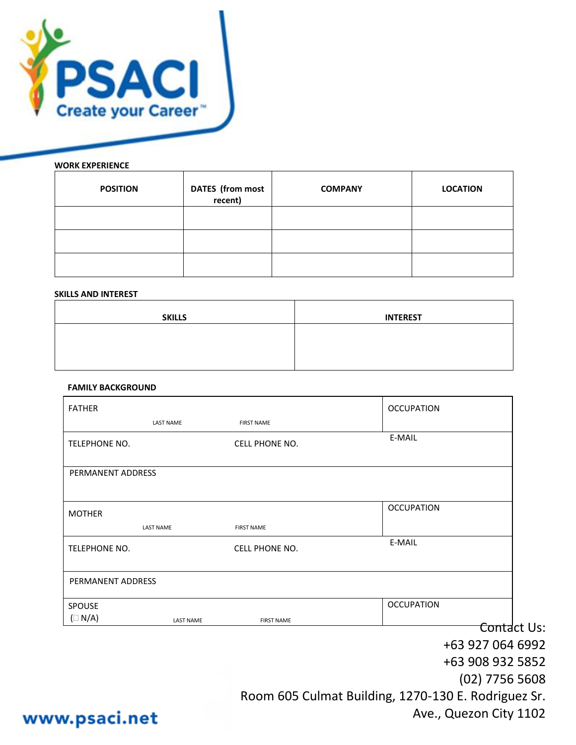

## **WORK EXPERIENCE**

| <b>POSITION</b> | <b>DATES</b> (from most<br>recent) | <b>COMPANY</b> | <b>LOCATION</b> |
|-----------------|------------------------------------|----------------|-----------------|
|                 |                                    |                |                 |
|                 |                                    |                |                 |
|                 |                                    |                |                 |

#### **SKILLS AND INTEREST**

| <b>SKILLS</b> | <b>INTEREST</b> |
|---------------|-----------------|
|               |                 |
|               |                 |

## **FAMILY BACKGROUND**

| <b>FATHER</b>        |                  |                       | <b>OCCUPATION</b>                                   |  |
|----------------------|------------------|-----------------------|-----------------------------------------------------|--|
|                      | <b>LAST NAME</b> | <b>FIRST NAME</b>     |                                                     |  |
| <b>TELEPHONE NO.</b> |                  | <b>CELL PHONE NO.</b> | E-MAIL                                              |  |
| PERMANENT ADDRESS    |                  |                       |                                                     |  |
| <b>MOTHER</b>        |                  |                       | <b>OCCUPATION</b>                                   |  |
|                      | <b>LAST NAME</b> | <b>FIRST NAME</b>     |                                                     |  |
| TELEPHONE NO.        |                  | <b>CELL PHONE NO.</b> | E-MAIL                                              |  |
| PERMANENT ADDRESS    |                  |                       |                                                     |  |
| <b>SPOUSE</b>        |                  |                       | <b>OCCUPATION</b>                                   |  |
| $(\Box N/A)$         | <b>LAST NAME</b> | <b>FIRST NAME</b>     |                                                     |  |
|                      |                  |                       | Contact Us:                                         |  |
|                      |                  |                       | +63 927 064 6992                                    |  |
|                      |                  |                       | +63 908 932 5852                                    |  |
|                      |                  |                       | $(02)$ 7756 5608                                    |  |
|                      |                  |                       | Room 605 Culmat Building, 1270-130 E. Rodriguez Sr. |  |

www.psaci.net

Ave., Quezon City 1102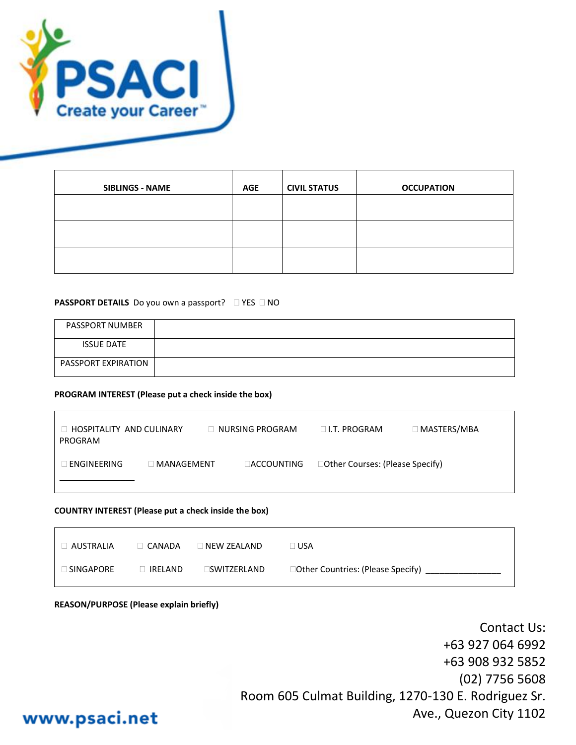

| <b>SIBLINGS - NAME</b> | <b>AGE</b> | <b>CIVIL STATUS</b> | <b>OCCUPATION</b> |
|------------------------|------------|---------------------|-------------------|
|                        |            |                     |                   |
|                        |            |                     |                   |
|                        |            |                     |                   |

### **PASSPORT DETAILS** Do you own a passport? **DIMES** DNO

| <b>PASSPORT NUMBER</b> |  |
|------------------------|--|
| <b>ISSUE DATE</b>      |  |
| PASSPORT EXPIRATION    |  |

#### **PROGRAM INTEREST (Please put a check inside the box)**

| $\Box$ HOSPITALITY AND CULINARY<br>PROGRAM |                     | $\Box$ NURSING PROGRAM |                    | $\Box$ I.T. PROGRAM              | $\Box$ MASTERS/MBA |
|--------------------------------------------|---------------------|------------------------|--------------------|----------------------------------|--------------------|
| $\Box$ engineering                         | $\lceil$ MANAGEMENT |                        | <b>LACCOUNTING</b> | □Other Courses: (Please Specify) |                    |

#### **COUNTRY INTEREST (Please put a check inside the box)**

| I AUSTRALIA         | $\sqcap$ CANADA | ⊺NEW ZEALAND | I USA                              |
|---------------------|-----------------|--------------|------------------------------------|
| $\supset$ SINGAPORE | IRELAND         | _SWITZERLAND | □Other Countries: (Please Specify) |

#### **REASON/PURPOSE (Please explain briefly)**

Contact Us: +63 927 064 6992 +63 908 932 5852 (02) 7756 5608 Room 605 Culmat Building, 1270-130 E. Rodriguez Sr. Ave., Quezon City 1102

# www.psaci.net